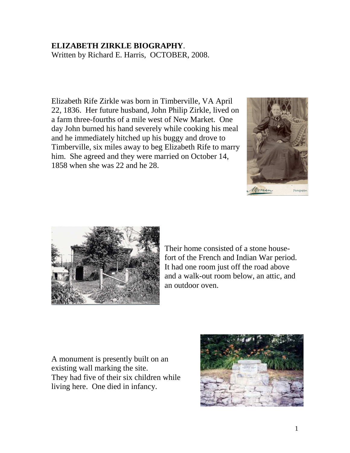## **ELIZABETH ZIRKLE BIOGRAPHY**.

Written by Richard E. Harris, OCTOBER, 2008.

Elizabeth Rife Zirkle was born in Timberville, VA April 22, 1836. Her future husband, John Philip Zirkle, lived on a farm three-fourths of a mile west of New Market. One day John burned his hand severely while cooking his meal and he immediately hitched up his buggy and drove to Timberville, six miles away to beg Elizabeth Rife to marry him. She agreed and they were married on October 14, 1858 when she was 22 and he 28.





Their home consisted of a stone housefort of the French and Indian War period. It had one room just off the road above and a walk-out room below, an attic, and an outdoor oven.

A monument is presently built on an existing wall marking the site. They had five of their six children while living here. One died in infancy.

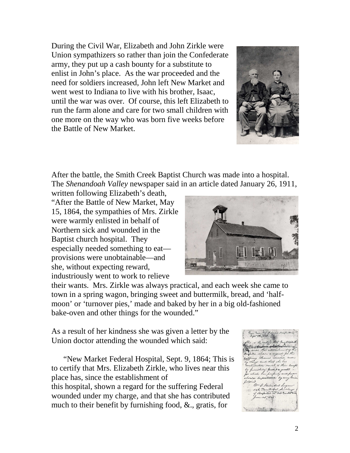During the Civil War, Elizabeth and John Zirkle were Union sympathizers so rather than join the Confederate army, they put up a cash bounty for a substitute to enlist in John's place. As the war proceeded and the need for soldiers increased, John left New Market and went west to Indiana to live with his brother, Isaac, until the war was over. Of course, this left Elizabeth to run the farm alone and care for two small children with one more on the way who was born five weeks before the Battle of New Market.



After the battle, the Smith Creek Baptist Church was made into a hospital. The *Shenandoah Valley* newspaper said in an article dated January 26, 1911,

written following Elizabeth's death, "After the Battle of New Market, May 15, 1864, the sympathies of Mrs. Zirkle were warmly enlisted in behalf of Northern sick and wounded in the Baptist church hospital. They especially needed something to eat provisions were unobtainable—and she, without expecting reward, industriously went to work to relieve



their wants. Mrs. Zirkle was always practical, and each week she came to town in a spring wagon, bringing sweet and buttermilk, bread, and 'halfmoon' or 'turnover pies,' made and baked by her in a big old-fashioned bake-oven and other things for the wounded."

As a result of her kindness she was given a letter by the Union doctor attending the wounded which said:

 "New Market Federal Hospital, Sept. 9, 1864; This is to certify that Mrs. Elizabeth Zirkle, who lives near this place has, since the establishment of this hospital, shown a regard for the suffering Federal wounded under my charge, and that she has contributed much to their benefit by furnishing food, &., gratis, for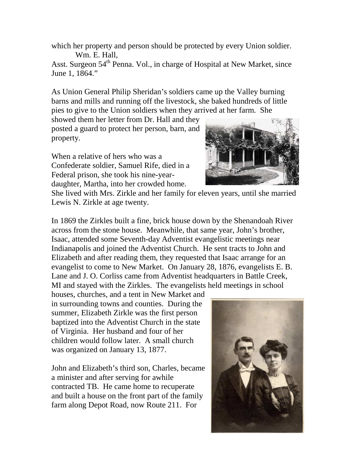which her property and person should be protected by every Union soldier. Wm. E. Hall,

Asst. Surgeon 54<sup>th</sup> Penna. Vol., in charge of Hospital at New Market, since June 1, 1864."

As Union General Philip Sheridan's soldiers came up the Valley burning barns and mills and running off the livestock, she baked hundreds of little pies to give to the Union soldiers when they arrived at her farm. She

showed them her letter from Dr. Hall and they posted a guard to protect her person, barn, and property.

When a relative of hers who was a Confederate soldier, Samuel Rife, died in a Federal prison, she took his nine-yeardaughter, Martha, into her crowded home.



She lived with Mrs. Zirkle and her family for eleven years, until she married Lewis N. Zirkle at age twenty.

In 1869 the Zirkles built a fine, brick house down by the Shenandoah River across from the stone house. Meanwhile, that same year, John's brother, Isaac, attended some Seventh-day Adventist evangelistic meetings near Indianapolis and joined the Adventist Church. He sent tracts to John and Elizabeth and after reading them, they requested that Isaac arrange for an evangelist to come to New Market. On January 28, 1876, evangelists E. B. Lane and J. O. Corliss came from Adventist headquarters in Battle Creek, MI and stayed with the Zirkles. The evangelists held meetings in school

houses, churches, and a tent in New Market and in surrounding towns and counties. During the summer, Elizabeth Zirkle was the first person baptized into the Adventist Church in the state of Virginia. Her husband and four of her children would follow later. A small church was organized on January 13, 1877.

John and Elizabeth's third son, Charles, became a minister and after serving for awhile contracted TB. He came home to recuperate and built a house on the front part of the family farm along Depot Road, now Route 211. For

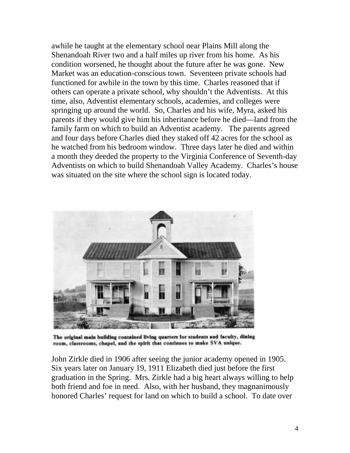awhile he taught at the elementary school near Plains Mill along the Shenandoah River two and a half miles up river from his home. As his condition worsened, he thought about the future after he was gone. New Market was an education-conscious town. Seventeen private schools had functioned for awhile in the town by this time. Charles reasoned that if others can operate a private school, why shouldn't the Adventists. At this time, also, Adventist elementary schools, academies, and colleges were springing up around the world. So, Charles and his wife, Myra, asked his parents if they would give him his inheritance before he died—land from the family farm on which to build an Adventist academy. The parents agreed and four days before Charles died they staked off 42 acres for the school as he watched from his bedroom window. Three days later he died and within a month they deeded the property to the Virginia Conference of Seventh-day Adventists on which to build Shenandoah Valley Academy. Charles's house was situated on the site where the school sign is located today.



The original main building contained living quarters for students and faculty, dining room, classrooms, chapel, and the spirit that continues to make SVA unique.

John Zirkle died in 1906 after seeing the junior academy opened in 1905. Six years later on January 19, 1911 Elizabeth died just before the first graduation in the Spring. Mrs. Zirkle had a big heart always willing to help both friend and foe in need. Also, with her husband, they magnanimously honored Charles' request for land on which to build a school. To date over